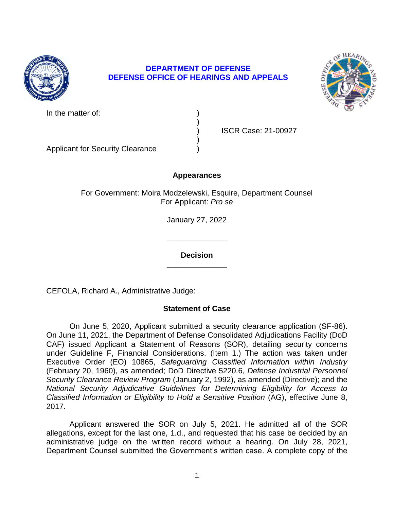

## **DEPARTMENT OF DEFENSE DEFENSE OFFICE OF HEARINGS AND APPEALS**

)

)



| In the matter of: |  |
|-------------------|--|
|                   |  |

) ISCR Case: 21-00927

Applicant for Security Clearance )

# **Appearances**

For Government: Moira Modzelewski, Esquire, Department Counsel For Applicant: *Pro se* 

January 27, 2022

**\_\_\_\_\_\_\_\_\_\_\_\_\_\_ Decision** 

**\_\_\_\_\_\_\_\_\_\_\_\_\_\_** 

CEFOLA, Richard A., Administrative Judge:

# **Statement of Case**

 On June 5, 2020, Applicant submitted a security clearance application (SF-86). CAF) issued Applicant a Statement of Reasons (SOR), detailing security concerns under Guideline F, Financial Considerations. (Item 1.) The action was taken under  Executive Order (EO) 10865, *Safeguarding Classified Information within Industry Classified Information or Eligibility to Hold a Sensitive Position* (AG), effective June 8, On June 11, 2021, the Department of Defense Consolidated Adjudications Facility (DoD (February 20, 1960), as amended; DoD Directive 5220.6, *Defense Industrial Personnel Security Clearance Review Program* (January 2, 1992), as amended (Directive); and the *National Security Adjudicative Guidelines for Determining Eligibility for Access to*  2017.

 Applicant answered the SOR on July 5, 2021. He admitted all of the SOR allegations, except for the last one, 1.d., and requested that his case be decided by an administrative judge on the written record without a hearing. On July 28, 2021, Department Counsel submitted the Government's written case. A complete copy of the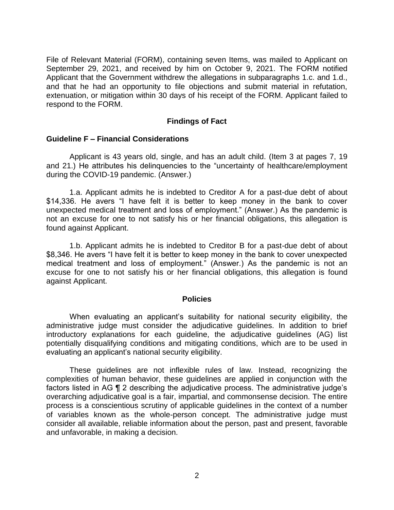September 29, 2021, and received by him on October 9, 2021. The FORM notified Applicant that the Government withdrew the allegations in subparagraphs 1.c. and 1.d., and that he had an opportunity to file objections and submit material in refutation, extenuation, or mitigation within 30 days of his receipt of the FORM. Applicant failed to File of Relevant Material (FORM), containing seven Items, was mailed to Applicant on respond to the FORM.

### **Findings of Fact**

#### **Guideline F – Financial Considerations**

 Applicant is 43 years old, single, and has an adult child. (Item 3 at pages 7, 19 and 21.) He attributes his delinquencies to the "uncertainty of healthcare/employment during the COVID-19 pandemic. (Answer.)

 1.a. Applicant admits he is indebted to Creditor A for a past-due debt of about \$14,336. He avers "I have felt it is better to keep money in the bank to cover unexpected medical treatment and loss of employment." (Answer.) As the pandemic is not an excuse for one to not satisfy his or her financial obligations, this allegation is found against Applicant.

 1.b. Applicant admits he is indebted to Creditor B for a past-due debt of about \$8,346. He avers "I have felt it is better to keep money in the bank to cover unexpected medical treatment and loss of employment." (Answer.) As the pandemic is not an excuse for one to not satisfy his or her financial obligations, this allegation is found against Applicant.

#### **Policies**

 When evaluating an applicant's suitability for national security eligibility, the administrative judge must consider the adjudicative guidelines. In addition to brief potentially disqualifying conditions and mitigating conditions, which are to be used in introductory explanations for each guideline, the adjudicative guidelines (AG) list evaluating an applicant's national security eligibility.

 These guidelines are not inflexible rules of law. Instead, recognizing the complexities of human behavior, these guidelines are applied in conjunction with the factors listed in AG ¶ 2 describing the adjudicative process. The administrative judge's overarching adjudicative goal is a fair, impartial, and commonsense decision. The entire process is a conscientious scrutiny of applicable guidelines in the context of a number of variables known as the whole-person concept. The administrative judge must consider all available, reliable information about the person, past and present, favorable and unfavorable, in making a decision.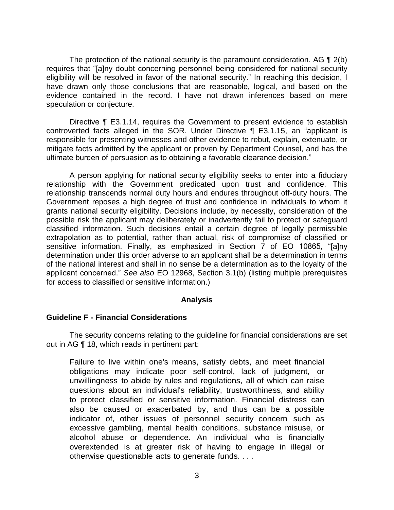The protection of the national security is the paramount consideration. AG  $\P$  2(b) eligibility will be resolved in favor of the national security." In reaching this decision, I have drawn only those conclusions that are reasonable, logical, and based on the evidence contained in the record. I have not drawn inferences based on mere requires that "[a]ny doubt concerning personnel being considered for national security speculation or conjecture.

Directive ¶ E3.1.14, requires the Government to present evidence to establish controverted facts alleged in the SOR. Under Directive ¶ E3.1.15, an "applicant is responsible for presenting witnesses and other evidence to rebut, explain, extenuate, or mitigate facts admitted by the applicant or proven by Department Counsel, and has the ultimate burden of persuasion as to obtaining a favorable clearance decision."

 A person applying for national security eligibility seeks to enter into a fiduciary relationship with the Government predicated upon trust and confidence. This relationship transcends normal duty hours and endures throughout off-duty hours. The Government reposes a high degree of trust and confidence in individuals to whom it grants national security eligibility. Decisions include, by necessity, consideration of the possible risk the applicant may deliberately or inadvertently fail to protect or safeguard classified information. Such decisions entail a certain degree of legally permissible extrapolation as to potential, rather than actual, risk of compromise of classified or sensitive information. Finally, as emphasized in Section 7 of EO 10865, "[a]ny determination under this order adverse to an applicant shall be a determination in terms of the national interest and shall in no sense be a determination as to the loyalty of the applicant concerned." *See also* EO 12968, Section 3.1(b) (listing multiple prerequisites for access to classified or sensitive information.)

#### **Analysis**

#### **Guideline F - Financial Considerations**

 The security concerns relating to the guideline for financial considerations are set out in AG ¶ 18, which reads in pertinent part:

 unwillingness to abide by rules and regulations, all of which can raise Failure to live within one's means, satisfy debts, and meet financial obligations may indicate poor self-control, lack of judgment, or questions about an individual's reliability, trustworthiness, and ability to protect classified or sensitive information. Financial distress can also be caused or exacerbated by, and thus can be a possible indicator of, other issues of personnel security concern such as excessive gambling, mental health conditions, substance misuse, or alcohol abuse or dependence. An individual who is financially overextended is at greater risk of having to engage in illegal or otherwise questionable acts to generate funds. . . .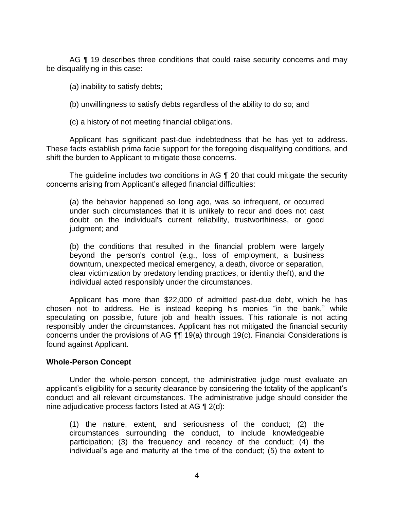AG ¶ 19 describes three conditions that could raise security concerns and may be disqualifying in this case:

(a) inability to satisfy debts;

(b) unwillingness to satisfy debts regardless of the ability to do so; and

(c) a history of not meeting financial obligations.

 Applicant has significant past-due indebtedness that he has yet to address. These facts establish prima facie support for the foregoing disqualifying conditions, and shift the burden to Applicant to mitigate those concerns.

 The guideline includes two conditions in AG ¶ 20 that could mitigate the security concerns arising from Applicant's alleged financial difficulties:

(a) the behavior happened so long ago, was so infrequent, or occurred under such circumstances that it is unlikely to recur and does not cast doubt on the individual's current reliability, trustworthiness, or good judgment; and

(b) the conditions that resulted in the financial problem were largely beyond the person's control (e.g., loss of employment, a business downturn, unexpected medical emergency, a death, divorce or separation, clear victimization by predatory lending practices, or identity theft), and the individual acted responsibly under the circumstances.

 Applicant has more than \$22,000 of admitted past-due debt, which he has chosen not to address. He is instead keeping his monies "in the bank," while speculating on possible, future job and health issues. This rationale is not acting responsibly under the circumstances. Applicant has not mitigated the financial security concerns under the provisions of AG ¶¶ 19(a) through 19(c). Financial Considerations is found against Applicant.

#### **Whole-Person Concept**

Under the whole-person concept, the administrative judge must evaluate an applicant's eligibility for a security clearance by considering the totality of the applicant's conduct and all relevant circumstances. The administrative judge should consider the nine adjudicative process factors listed at AG ¶ 2(d):

(1) the nature, extent, and seriousness of the conduct; (2) the circumstances surrounding the conduct, to include knowledgeable participation; (3) the frequency and recency of the conduct; (4) the individual's age and maturity at the time of the conduct; (5) the extent to